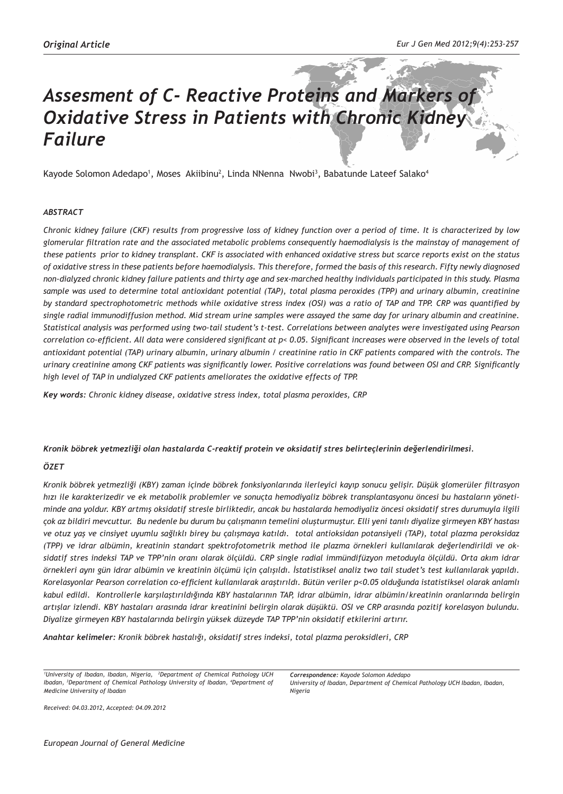# *Assesment of C- Reactive Proteins and Markers of Oxidative Stress in Patients with Chronic Kidney Failure*

Kayode Solomon Adedapo<sup>1</sup>, Moses Akiibinu<sup>2</sup>, Linda NNenna Nwobi<sup>3</sup>, Babatunde Lateef Salako<sup>4</sup>

## *ABSTRACT*

*Chronic kidney failure (CKF) results from progressive loss of kidney function over a period of time. It is characterized by low glomerular filtration rate and the associated metabolic problems consequently haemodialysis is the mainstay of management of these patients prior to kidney transplant. CKF is associated with enhanced oxidative stress but scarce reports exist on the status of oxidative stress in these patients before haemodialysis. This therefore, formed the basis of this research. Fifty newly diagnosed non-dialyzed chronic kidney failure patients and thirty age and sex-marched healthy individuals participated in this study. Plasma sample was used to determine total antioxidant potential (TAP), total plasma peroxides (TPP) and urinary albumin, creatinine by standard spectrophotometric methods while oxidative stress index (OSI) was a ratio of TAP and TPP. CRP was quantified by single radial immunodiffusion method. Mid stream urine samples were assayed the same day for urinary albumin and creatinine. Statistical analysis was performed using two-tail student's t-test. Correlations between analytes were investigated using Pearson correlation co-efficient. All data were considered significant at p< 0.05. Significant increases were observed in the levels of total antioxidant potential (TAP) urinary albumin, urinary albumin / creatinine ratio in CKF patients compared with the controls. The urinary creatinine among CKF patients was significantly lower. Positive correlations was found between OSI and CRP. Significantly high level of TAP in undialyzed CKF patients ameliorates the oxidative effects of TPP.*

*Key words: Chronic kidney disease, oxidative stress index, total plasma peroxides, CRP*

#### *Kronik böbrek yetmezliği olan hastalarda C-reaktif protein ve oksidatif stres belirteçlerinin değerlendirilmesi.*

## *ÖZET*

*Kronik böbrek yetmezliği (KBY) zaman içinde böbrek fonksiyonlarında ilerleyici kayıp sonucu gelişir. Düşük glomerüler filtrasyon hızı ile karakterizedir ve ek metabolik problemler ve sonuçta hemodiyaliz böbrek transplantasyonu öncesi bu hastaların yönetiminde ana yoldur. KBY artmış oksidatif stresle birliktedir, ancak bu hastalarda hemodiyaliz öncesi oksidatif stres durumuyla ilgili çok az bildiri mevcuttur. Bu nedenle bu durum bu çalışmanın temelini oluşturmuştur. Elli yeni tanılı diyalize girmeyen KBY hastası ve otuz yaş ve cinsiyet uyumlu sağlıklı birey bu çalışmaya katıldı. total antioksidan potansiyeli (TAP), total plazma peroksidaz (TPP) ve idrar albümin, kreatinin standart spektrofotometrik method ile plazma örnekleri kullanılarak değerlendirildi ve oksidatif stres indeksi TAP ve TPP'nin oranı olarak ölçüldü. CRP single radial immündifüzyon metoduyla ölçüldü. Orta akım idrar örnekleri aynı gün idrar albümin ve kreatinin ölçümü için çalışıldı. İstatistiksel analiz two tail studet's test kullanılarak yapıldı. Korelasyonlar Pearson correlation co-efficient kullanılarak araştırıldı. Bütün veriler p<0.05 olduğunda istatistiksel olarak anlamlı kabul edildi. Kontrollerle karşılaştırıldığında KBY hastalarının TAP, idrar albümin, idrar albümin/kreatinin oranlarında belirgin artışlar izlendi. KBY hastaları arasında idrar kreatinini belirgin olarak düşüktü. OSI ve CRP arasında pozitif korelasyon bulundu. Diyalize girmeyen KBY hastalarında belirgin yüksek düzeyde TAP TPP'nin oksidatif etkilerini artırır.*

*Anahtar kelimeler: Kronik böbrek hastalığı, oksidatif stres indeksi, total plazma peroksidleri, CRP*

*1 University of Ibadan, Ibadan, Nigeria, 2 Department of Chemical Pathology UCH Ibadan, <sup>3</sup>Department of Chemical Pathology University of Ibadan, <sup>4</sup>Department of Medicine University of Ibadan*

*Received: 04.03.2012, Accepted: 04.09.2012*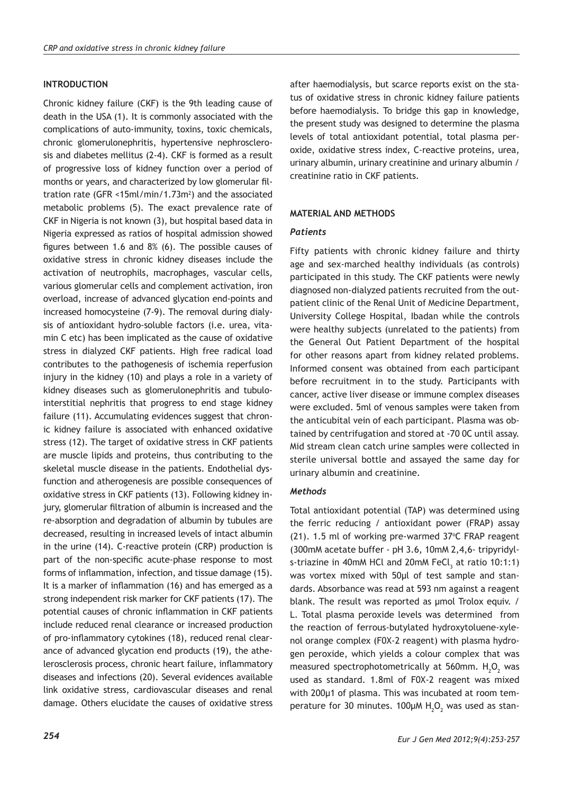## **INTRODUCTION**

Chronic kidney failure (CKF) is the 9th leading cause of death in the USA (1). It is commonly associated with the complications of auto-immunity, toxins, toxic chemicals, chronic glomerulonephritis, hypertensive nephrosclerosis and diabetes mellitus (2-4). CKF is formed as a result of progressive loss of kidney function over a period of months or years, and characterized by low glomerular filtration rate (GFR <15ml/min/1.73m2 ) and the associated metabolic problems (5). The exact prevalence rate of CKF in Nigeria is not known (3), but hospital based data in Nigeria expressed as ratios of hospital admission showed figures between 1.6 and 8% (6). The possible causes of oxidative stress in chronic kidney diseases include the activation of neutrophils, macrophages, vascular cells, various glomerular cells and complement activation, iron overload, increase of advanced glycation end-points and increased homocysteine (7-9). The removal during dialysis of antioxidant hydro-soluble factors (i.e. urea, vitamin C etc) has been implicated as the cause of oxidative stress in dialyzed CKF patients. High free radical load contributes to the pathogenesis of ischemia reperfusion injury in the kidney (10) and plays a role in a variety of kidney diseases such as glomerulonephritis and tubulointerstitial nephritis that progress to end stage kidney failure (11). Accumulating evidences suggest that chronic kidney failure is associated with enhanced oxidative stress (12). The target of oxidative stress in CKF patients are muscle lipids and proteins, thus contributing to the skeletal muscle disease in the patients. Endothelial dysfunction and atherogenesis are possible consequences of oxidative stress in CKF patients (13). Following kidney injury, glomerular filtration of albumin is increased and the re-absorption and degradation of albumin by tubules are decreased, resulting in increased levels of intact albumin in the urine (14). C-reactive protein (CRP) production is part of the non-specific acute-phase response to most forms of inflammation, infection, and tissue damage (15). It is a marker of inflammation (16) and has emerged as a strong independent risk marker for CKF patients (17). The potential causes of chronic inflammation in CKF patients include reduced renal clearance or increased production of pro-inflammatory cytokines (18), reduced renal clearance of advanced glycation end products (19), the athelerosclerosis process, chronic heart failure, inflammatory diseases and infections (20). Several evidences available link oxidative stress, cardiovascular diseases and renal damage. Others elucidate the causes of oxidative stress

after haemodialysis, but scarce reports exist on the status of oxidative stress in chronic kidney failure patients before haemodialysis. To bridge this gap in knowledge, the present study was designed to determine the plasma levels of total antioxidant potential, total plasma peroxide, oxidative stress index, C-reactive proteins, urea, urinary albumin, urinary creatinine and urinary albumin / creatinine ratio in CKF patients.

## **MATERIAL AND METHODS**

## *Patients*

Fifty patients with chronic kidney failure and thirty age and sex-marched healthy individuals (as controls) participated in this study. The CKF patients were newly diagnosed non-dialyzed patients recruited from the outpatient clinic of the Renal Unit of Medicine Department, University College Hospital, Ibadan while the controls were healthy subjects (unrelated to the patients) from the General Out Patient Department of the hospital for other reasons apart from kidney related problems. Informed consent was obtained from each participant before recruitment in to the study. Participants with cancer, active liver disease or immune complex diseases were excluded. 5ml of venous samples were taken from the anticubital vein of each participant. Plasma was obtained by centrifugation and stored at -70 0C until assay. Mid stream clean catch urine samples were collected in sterile universal bottle and assayed the same day for urinary albumin and creatinine.

## *Methods*

Total antioxidant potential (TAP) was determined using the ferric reducing / antioxidant power (FRAP) assay  $(21)$ . 1.5 ml of working pre-warmed 37 $\degree$ C FRAP reagent (300mM acetate buffer - pH 3.6, 10mM 2,4,6- tripyridyls-triazine in 40mM HCl and 20mM FeCl<sub>3</sub> at ratio 10:1:1) was vortex mixed with 50µl of test sample and standards. Absorbance was read at 593 nm against a reagent blank. The result was reported as µmol Trolox equiv. / L. Total plasma peroxide levels was determined from the reaction of ferrous-butylated hydroxytoluene-xylenol orange complex (F0X-2 reagent) with plasma hydrogen peroxide, which yields a colour complex that was measured spectrophotometrically at 560mm.  $H_2O_2$  was used as standard. 1.8ml of F0X-2 reagent was mixed with 200µ1 of plasma. This was incubated at room temperature for 30 minutes. 100 $\mu$ M H<sub>2</sub>O<sub>2</sub> was used as stan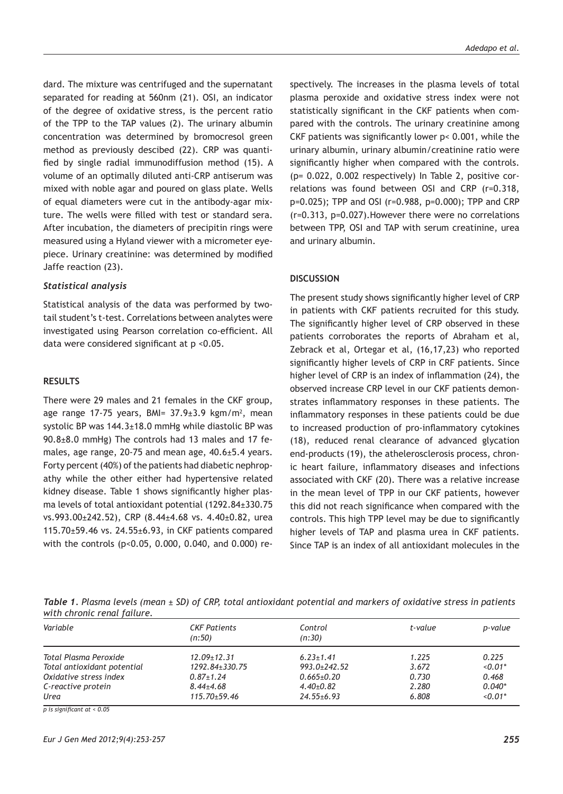dard. The mixture was centrifuged and the supernatant separated for reading at 560nm (21). OSI, an indicator of the degree of oxidative stress, is the percent ratio of the TPP to the TAP values (2). The urinary albumin concentration was determined by bromocresol green method as previously descibed (22). CRP was quantified by single radial immunodiffusion method (15). A volume of an optimally diluted anti-CRP antiserum was mixed with noble agar and poured on glass plate. Wells of equal diameters were cut in the antibody-agar mixture. The wells were filled with test or standard sera. After incubation, the diameters of precipitin rings were measured using a Hyland viewer with a micrometer eyepiece. Urinary creatinine: was determined by modified Jaffe reaction (23).

#### *Statistical analysis*

Statistical analysis of the data was performed by twotail student's t-test. Correlations between analytes were investigated using Pearson correlation co-efficient. All data were considered significant at p <0.05.

#### **RESULTS**

There were 29 males and 21 females in the CKF group, age range 17-75 years, BMI= 37.9±3.9 kgm/m<sup>2</sup>, mean systolic BP was 144.3±18.0 mmHg while diastolic BP was 90.8±8.0 mmHg) The controls had 13 males and 17 females, age range, 20-75 and mean age, 40.6±5.4 years. Forty percent (40%) of the patients had diabetic nephropathy while the other either had hypertensive related kidney disease. Table 1 shows significantly higher plasma levels of total antioxidant potential (1292.84±330.75 vs.993.00±242.52), CRP (8.44±4.68 vs. 4.40±0.82, urea 115.70±59.46 vs. 24.55±6.93, in CKF patients compared with the controls (p<0.05, 0.000, 0.040, and 0.000) respectively. The increases in the plasma levels of total plasma peroxide and oxidative stress index were not statistically significant in the CKF patients when compared with the controls. The urinary creatinine among CKF patients was significantly lower p< 0.001, while the urinary albumin, urinary albumin/creatinine ratio were significantly higher when compared with the controls. (p= 0.022, 0.002 respectively) In Table 2, positive correlations was found between OSI and CRP (r=0.318, p=0.025); TPP and OSI (r=0.988, p=0.000); TPP and CRP (r=0.313, p=0.027).However there were no correlations between TPP, OSI and TAP with serum creatinine, urea and urinary albumin.

#### **DISCUSSION**

The present study shows significantly higher level of CRP in patients with CKF patients recruited for this study. The significantly higher level of CRP observed in these patients corroborates the reports of Abraham et al, Zebrack et al, Ortegar et al, (16,17,23) who reported significantly higher levels of CRP in CRF patients. Since higher level of CRP is an index of inflammation (24), the observed increase CRP level in our CKF patients demonstrates inflammatory responses in these patients. The inflammatory responses in these patients could be due to increased production of pro-inflammatory cytokines (18), reduced renal clearance of advanced glycation end-products (19), the athelerosclerosis process, chronic heart failure, inflammatory diseases and infections associated with CKF (20). There was a relative increase in the mean level of TPP in our CKF patients, however this did not reach significance when compared with the controls. This high TPP level may be due to significantly higher levels of TAP and plasma urea in CKF patients. Since TAP is an index of all antioxidant molecules in the

| Table 1. Plasma levels (mean $\pm$ SD) of CRP, total antioxidant potential and markers of oxidative stress in patients |  |  |  |  |
|------------------------------------------------------------------------------------------------------------------------|--|--|--|--|
| with chronic renal failure.                                                                                            |  |  |  |  |

| Variable                    | <b>CKF Patients</b><br>(n:50) | Control<br>(n:30) | t-value | p-value   |
|-----------------------------|-------------------------------|-------------------|---------|-----------|
| Total Plasma Peroxide       | $12.09 \pm 12.31$             | $6.23 \pm 1.41$   | 1.225   | 0.225     |
| Total antioxidant potential | 1292.84+330.75                | $993.0 + 242.52$  | 3.672   | $< 0.01*$ |
| Oxidative stress index      | $0.87 \pm 1.24$               | $0.665 \pm 0.20$  | 0.730   | 0.468     |
| C-reactive protein          | $8.44 + 4.68$                 | $4.40+0.82$       | 2.280   | $0.040*$  |
| Urea                        | $115.70 + 59.46$              | $24.55 + 6.93$    | 6.808   | $< 0.01*$ |

*p is significant at < 0.05*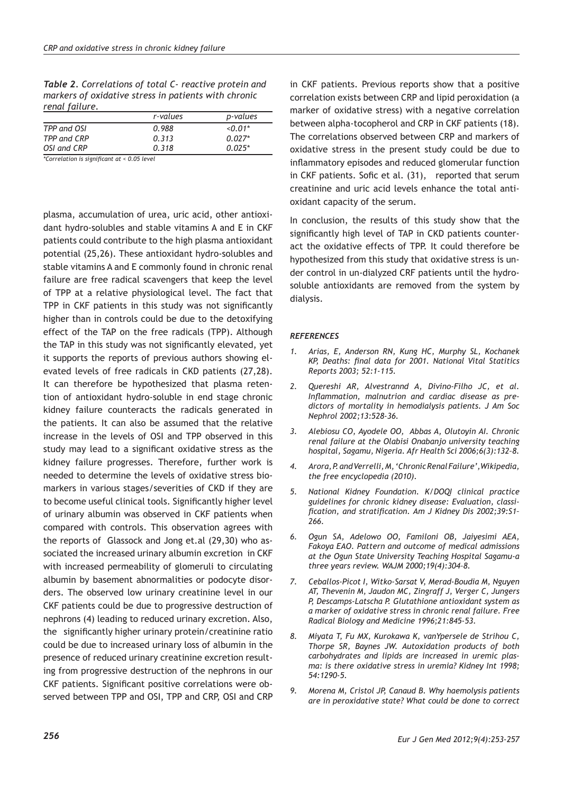*Table 2. Correlations of total C- reactive protein and markers of oxidative stress in patients with chronic renal failure.*

|             | r-values | p-values    |
|-------------|----------|-------------|
| TPP and OSI | 0.988    | $\le 0.01*$ |
| TPP and CRP | 0.313    | $0.027*$    |
| OSI and CRP | 0.318    | $0.025*$    |

*\*Correlation is significant at < 0.05 level*

plasma, accumulation of urea, uric acid, other antioxidant hydro-solubles and stable vitamins A and E in CKF patients could contribute to the high plasma antioxidant potential (25,26). These antioxidant hydro-solubles and stable vitamins A and E commonly found in chronic renal failure are free radical scavengers that keep the level of TPP at a relative physiological level. The fact that TPP in CKF patients in this study was not significantly higher than in controls could be due to the detoxifying effect of the TAP on the free radicals (TPP). Although the TAP in this study was not significantly elevated, yet it supports the reports of previous authors showing elevated levels of free radicals in CKD patients (27,28). It can therefore be hypothesized that plasma retention of antioxidant hydro-soluble in end stage chronic kidney failure counteracts the radicals generated in the patients. It can also be assumed that the relative increase in the levels of OSI and TPP observed in this study may lead to a significant oxidative stress as the kidney failure progresses. Therefore, further work is needed to determine the levels of oxidative stress biomarkers in various stages/severities of CKD if they are to become useful clinical tools. Significantly higher level of urinary albumin was observed in CKF patients when compared with controls. This observation agrees with the reports of Glassock and Jong et.al (29,30) who associated the increased urinary albumin excretion in CKF with increased permeability of glomeruli to circulating albumin by basement abnormalities or podocyte disorders. The observed low urinary creatinine level in our CKF patients could be due to progressive destruction of nephrons (4) leading to reduced urinary excretion. Also, the significantly higher urinary protein/creatinine ratio could be due to increased urinary loss of albumin in the presence of reduced urinary creatinine excretion resulting from progressive destruction of the nephrons in our CKF patients. Significant positive correlations were observed between TPP and OSI, TPP and CRP, OSI and CRP

in CKF patients. Previous reports show that a positive correlation exists between CRP and lipid peroxidation (a marker of oxidative stress) with a negative correlation between alpha-tocopherol and CRP in CKF patients (18). The correlations observed between CRP and markers of oxidative stress in the present study could be due to inflammatory episodes and reduced glomerular function in CKF patients. Sofic et al. (31), reported that serum creatinine and uric acid levels enhance the total antioxidant capacity of the serum.

In conclusion, the results of this study show that the significantly high level of TAP in CKD patients counteract the oxidative effects of TPP. It could therefore be hypothesized from this study that oxidative stress is under control in un-dialyzed CRF patients until the hydrosoluble antioxidants are removed from the system by dialysis.

#### *REFERENCES*

- *1. Arias, E, Anderson RN, Kung HC, Murphy SL, Kochanek KP, Deaths: final data for 2001. National Vital Statitics Reports 2003; 52:1-115.*
- *2. Quereshi AR, Alvestrannd A, Divino-Filho JC, et al. Inflammation, malnutrion and cardiac disease as predictors of mortality in hemodialysis patients. J Am Soc Nephrol 2002;13:528-36.*
- *3. Alebiosu CO, Ayodele OO, Abbas A, Olutoyin AI. Chronic renal failure at the Olabisi Onabanjo university teaching hospital, Sagamu, Nigeria. Afr Health Sci 2006;6(3):132–8.*
- *4. Arora, P. and Verrelli, M, 'Chronic Renal Failure',Wikipedia, the free encyclopedia (2010).*
- *5. National Kidney Foundation. K/DOQI clinical practice guidelines for chronic kidney disease: Evaluation, classification, and stratification. Am J Kidney Dis 2002;39:S1– 266.*
- *6. Ogun SA, Adelowo OO, Familoni OB, Jaiyesimi AEA, Fakoya EAO. Pattern and outcome of medical admissions at the Ogun State University Teaching Hospital Sagamu-a three years review. WAJM 2000;19(4):304–8.*
- *7. Ceballos-Picot I, Witko-Sarsat V, Merad-Boudia M, Nguyen AT, Thevenin M, Jaudon MC, Zingraff J, Verger C, Jungers P, Descamps-Latscha P. Glutathione antioxidant system as a marker of oxidative stress in chronic renal failure. Free Radical Biology and Medicine 1996;21:845-53.*
- *8. Miyata T, Fu MX, Kurokawa K, vanYpersele de Strihou C, Thorpe SR, Baynes JW. Autoxidation products of both carbohydrates and lipids are increased in uremic plasma: is there oxidative stress in uremia? Kidney Int 1998; 54:1290-5.*
- *9. Morena M, Cristol JP, Canaud B. Why haemolysis patients are in peroxidative state? What could be done to correct*